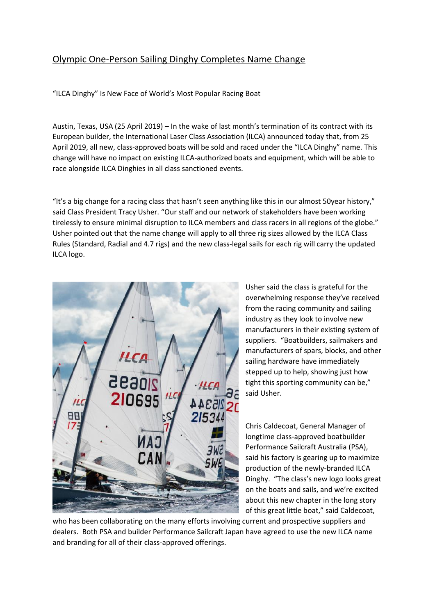## Olympic One-Person Sailing Dinghy Completes Name Change

"ILCA Dinghy" Is New Face of World's Most Popular Racing Boat

Austin, Texas, USA (25 April 2019) – In the wake of last month's termination of its contract with its European builder, the International Laser Class Association (ILCA) announced today that, from 25 April 2019, all new, class-approved boats will be sold and raced under the "ILCA Dinghy" name. This change will have no impact on existing ILCA-authorized boats and equipment, which will be able to race alongside ILCA Dinghies in all class sanctioned events.

"It's a big change for a racing class that hasn't seen anything like this in our almost 50year history," said Class President Tracy Usher. "Our staff and our network of stakeholders have been working tirelessly to ensure minimal disruption to ILCA members and class racers in all regions of the globe." Usher pointed out that the name change will apply to all three rig sizes allowed by the ILCA Class Rules (Standard, Radial and 4.7 rigs) and the new class-legal sails for each rig will carry the updated ILCA logo.



Usher said the class is grateful for the overwhelming response they've received from the racing community and sailing industry as they look to involve new manufacturers in their existing system of suppliers. "Boatbuilders, sailmakers and manufacturers of spars, blocks, and other sailing hardware have immediately stepped up to help, showing just how tight this sporting community can be," said Usher.

Chris Caldecoat, General Manager of longtime class-approved boatbuilder Performance Sailcraft Australia (PSA), said his factory is gearing up to maximize production of the newly-branded ILCA Dinghy. "The class's new logo looks great on the boats and sails, and we're excited about this new chapter in the long story of this great little boat," said Caldecoat,

who has been collaborating on the many efforts involving current and prospective suppliers and dealers. Both PSA and builder Performance Sailcraft Japan have agreed to use the new ILCA name and branding for all of their class-approved offerings.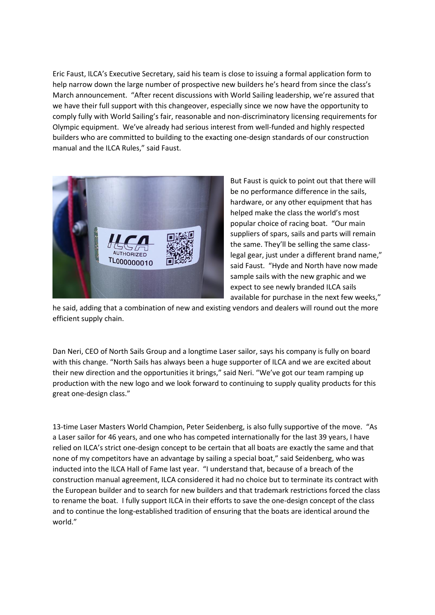Eric Faust, ILCA's Executive Secretary, said his team is close to issuing a formal application form to help narrow down the large number of prospective new builders he's heard from since the class's March announcement. "After recent discussions with World Sailing leadership, we're assured that we have their full support with this changeover, especially since we now have the opportunity to comply fully with World Sailing's fair, reasonable and non-discriminatory licensing requirements for Olympic equipment. We've already had serious interest from well-funded and highly respected builders who are committed to building to the exacting one-design standards of our construction manual and the ILCA Rules," said Faust.



But Faust is quick to point out that there will be no performance difference in the sails, hardware, or any other equipment that has helped make the class the world's most popular choice of racing boat. "Our main suppliers of spars, sails and parts will remain the same. They'll be selling the same classlegal gear, just under a different brand name," said Faust. "Hyde and North have now made sample sails with the new graphic and we expect to see newly branded ILCA sails available for purchase in the next few weeks,"

he said, adding that a combination of new and existing vendors and dealers will round out the more efficient supply chain.

Dan Neri, CEO of North Sails Group and a longtime Laser sailor, says his company is fully on board with this change. "North Sails has always been a huge supporter of ILCA and we are excited about their new direction and the opportunities it brings," said Neri. "We've got our team ramping up production with the new logo and we look forward to continuing to supply quality products for this great one-design class."

13-time Laser Masters World Champion, Peter Seidenberg, is also fully supportive of the move. "As a Laser sailor for 46 years, and one who has competed internationally for the last 39 years, I have relied on ILCA's strict one-design concept to be certain that all boats are exactly the same and that none of my competitors have an advantage by sailing a special boat," said Seidenberg, who was inducted into the ILCA Hall of Fame last year. "I understand that, because of a breach of the construction manual agreement, ILCA considered it had no choice but to terminate its contract with the European builder and to search for new builders and that trademark restrictions forced the class to rename the boat. I fully support ILCA in their efforts to save the one-design concept of the class and to continue the long-established tradition of ensuring that the boats are identical around the world."